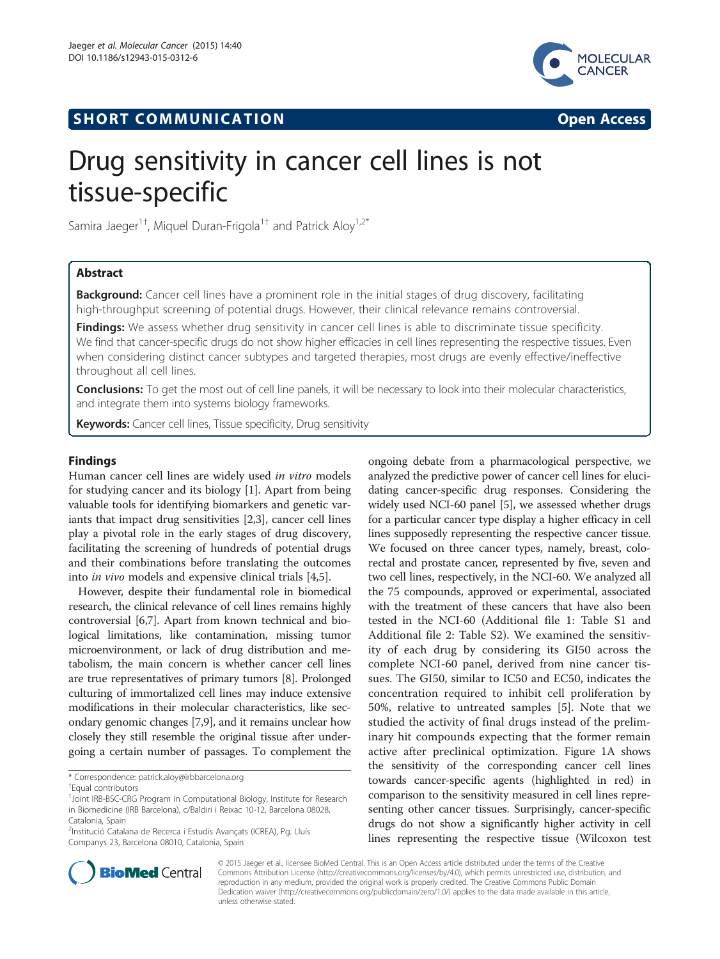



# Drug sensitivity in cancer cell lines is not tissue-specific

Samira Jaeger $^{1\dagger}$ , Miquel Duran-Frigola $^{1\dagger}$  and Patrick Aloy $^{1,2^*}$ 

## Abstract

Background: Cancer cell lines have a prominent role in the initial stages of drug discovery, facilitating high-throughput screening of potential drugs. However, their clinical relevance remains controversial.

Findings: We assess whether drug sensitivity in cancer cell lines is able to discriminate tissue specificity. We find that cancer-specific drugs do not show higher efficacies in cell lines representing the respective tissues. Even when considering distinct cancer subtypes and targeted therapies, most drugs are evenly effective/ineffective throughout all cell lines.

**Conclusions:** To get the most out of cell line panels, it will be necessary to look into their molecular characteristics, and integrate them into systems biology frameworks.

**Keywords:** Cancer cell lines, Tissue specificity, Drug sensitivity

## Findings

Human cancer cell lines are widely used in vitro models for studying cancer and its biology [[1\]](#page-3-0). Apart from being valuable tools for identifying biomarkers and genetic variants that impact drug sensitivities [[2](#page-3-0),[3\]](#page-3-0), cancer cell lines play a pivotal role in the early stages of drug discovery, facilitating the screening of hundreds of potential drugs and their combinations before translating the outcomes into in vivo models and expensive clinical trials [[4,5\]](#page-3-0).

However, despite their fundamental role in biomedical research, the clinical relevance of cell lines remains highly controversial [\[6,7\]](#page-3-0). Apart from known technical and biological limitations, like contamination, missing tumor microenvironment, or lack of drug distribution and metabolism, the main concern is whether cancer cell lines are true representatives of primary tumors [\[8](#page-3-0)]. Prolonged culturing of immortalized cell lines may induce extensive modifications in their molecular characteristics, like secondary genomic changes [\[7,9](#page-3-0)], and it remains unclear how closely they still resemble the original tissue after undergoing a certain number of passages. To complement the

\* Correspondence: [patrick.aloy@irbbarcelona.org](mailto:patrick.aloy@irbbarcelona.org) †

Equal contributors

ongoing debate from a pharmacological perspective, we analyzed the predictive power of cancer cell lines for elucidating cancer-specific drug responses. Considering the widely used NCI-60 panel [[5](#page-3-0)], we assessed whether drugs for a particular cancer type display a higher efficacy in cell lines supposedly representing the respective cancer tissue. We focused on three cancer types, namely, breast, colorectal and prostate cancer, represented by five, seven and two cell lines, respectively, in the NCI-60. We analyzed all the 75 compounds, approved or experimental, associated with the treatment of these cancers that have also been tested in the NCI-60 (Additional file [1](#page-2-0): Table S1 and Additional file [2:](#page-3-0) Table S2). We examined the sensitivity of each drug by considering its GI50 across the complete NCI-60 panel, derived from nine cancer tissues. The GI50, similar to IC50 and EC50, indicates the concentration required to inhibit cell proliferation by 50%, relative to untreated samples [\[5](#page-3-0)]. Note that we studied the activity of final drugs instead of the preliminary hit compounds expecting that the former remain active after preclinical optimization. Figure [1](#page-1-0)A shows the sensitivity of the corresponding cancer cell lines towards cancer-specific agents (highlighted in red) in comparison to the sensitivity measured in cell lines representing other cancer tissues. Surprisingly, cancer-specific drugs do not show a significantly higher activity in cell lines representing the respective tissue (Wilcoxon test



© 2015 Jaeger et al.; licensee BioMed Central. This is an Open Access article distributed under the terms of the Creative Commons Attribution License [\(http://creativecommons.org/licenses/by/4.0\)](http://creativecommons.org/licenses/by/4.0), which permits unrestricted use, distribution, and reproduction in any medium, provided the original work is properly credited. The Creative Commons Public Domain Dedication waiver [\(http://creativecommons.org/publicdomain/zero/1.0/](http://creativecommons.org/publicdomain/zero/1.0/)) applies to the data made available in this article, unless otherwise stated.

<sup>&</sup>lt;sup>1</sup>Joint IRB-BSC-CRG Program in Computational Biology, Institute for Research in Biomedicine (IRB Barcelona), c/Baldiri i Reixac 10-12, Barcelona 08028, Catalonia, Spain

<sup>&</sup>lt;sup>2</sup>Institució Catalana de Recerca i Estudis Avançats (ICREA), Pg. Lluís Companys 23, Barcelona 08010, Catalonia, Spain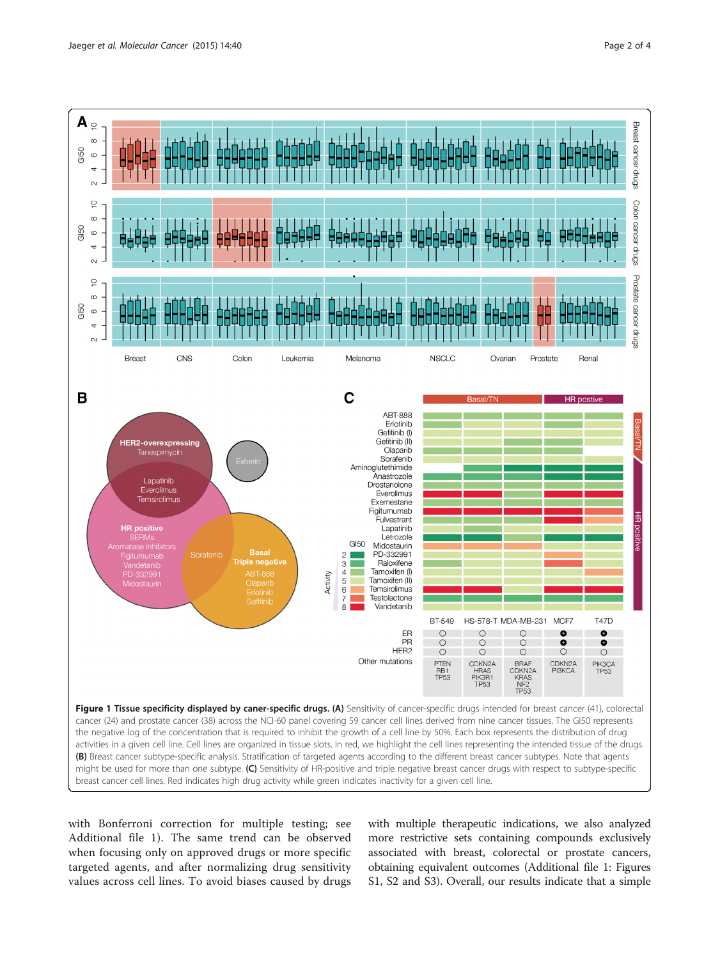<span id="page-1-0"></span>

with Bonferroni correction for multiple testing; see Additional file [1\)](#page-2-0). The same trend can be observed when focusing only on approved drugs or more specific targeted agents, and after normalizing drug sensitivity values across cell lines. To avoid biases caused by drugs

with multiple therapeutic indications, we also analyzed more restrictive sets containing compounds exclusively associated with breast, colorectal or prostate cancers, obtaining equivalent outcomes (Additional file [1:](#page-2-0) Figures S1, S2 and S3). Overall, our results indicate that a simple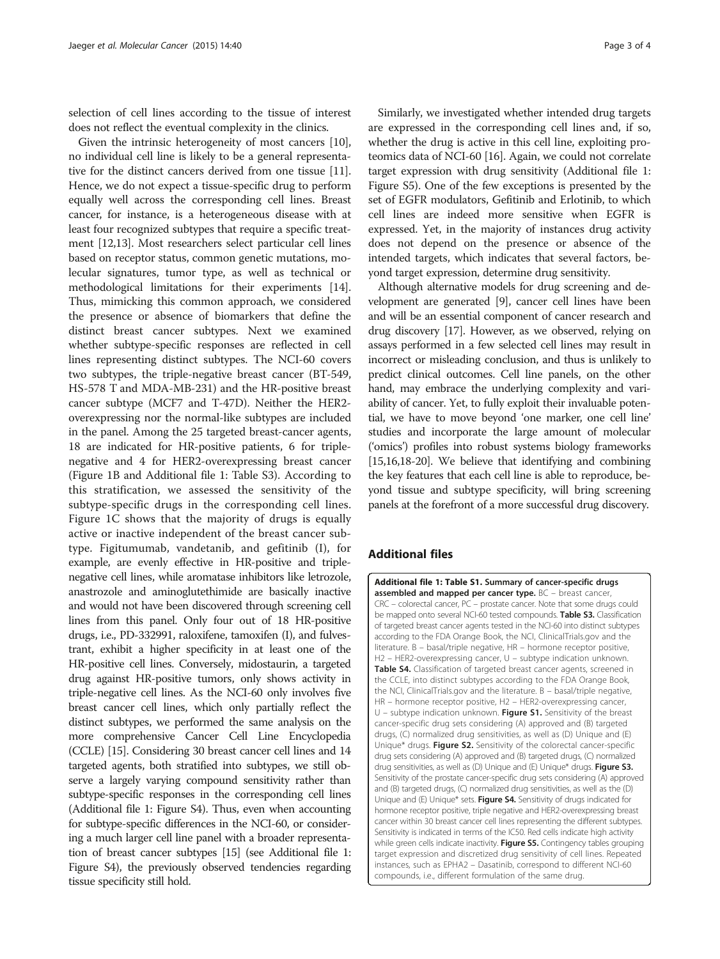<span id="page-2-0"></span>selection of cell lines according to the tissue of interest does not reflect the eventual complexity in the clinics.

Given the intrinsic heterogeneity of most cancers [[10](#page-3-0)], no individual cell line is likely to be a general representative for the distinct cancers derived from one tissue [[11](#page-3-0)]. Hence, we do not expect a tissue-specific drug to perform equally well across the corresponding cell lines. Breast cancer, for instance, is a heterogeneous disease with at least four recognized subtypes that require a specific treatment [\[12,13\]](#page-3-0). Most researchers select particular cell lines based on receptor status, common genetic mutations, molecular signatures, tumor type, as well as technical or methodological limitations for their experiments [[14](#page-3-0)]. Thus, mimicking this common approach, we considered the presence or absence of biomarkers that define the distinct breast cancer subtypes. Next we examined whether subtype-specific responses are reflected in cell lines representing distinct subtypes. The NCI-60 covers two subtypes, the triple-negative breast cancer (BT-549, HS-578 T and MDA-MB-231) and the HR-positive breast cancer subtype (MCF7 and T-47D). Neither the HER2 overexpressing nor the normal-like subtypes are included in the panel. Among the 25 targeted breast-cancer agents, 18 are indicated for HR-positive patients, 6 for triplenegative and 4 for HER2-overexpressing breast cancer (Figure [1](#page-1-0)B and Additional file 1: Table S3). According to this stratification, we assessed the sensitivity of the subtype-specific drugs in the corresponding cell lines. Figure [1](#page-1-0)C shows that the majority of drugs is equally active or inactive independent of the breast cancer subtype. Figitumumab, vandetanib, and gefitinib (I), for example, are evenly effective in HR-positive and triplenegative cell lines, while aromatase inhibitors like letrozole, anastrozole and aminoglutethimide are basically inactive and would not have been discovered through screening cell lines from this panel. Only four out of 18 HR-positive drugs, i.e., PD-332991, raloxifene, tamoxifen (I), and fulvestrant, exhibit a higher specificity in at least one of the HR-positive cell lines. Conversely, midostaurin, a targeted drug against HR-positive tumors, only shows activity in triple-negative cell lines. As the NCI-60 only involves five breast cancer cell lines, which only partially reflect the distinct subtypes, we performed the same analysis on the more comprehensive Cancer Cell Line Encyclopedia (CCLE) [\[15\]](#page-3-0). Considering 30 breast cancer cell lines and 14 targeted agents, both stratified into subtypes, we still observe a largely varying compound sensitivity rather than subtype-specific responses in the corresponding cell lines (Additional file 1: Figure S4). Thus, even when accounting for subtype-specific differences in the NCI-60, or considering a much larger cell line panel with a broader representation of breast cancer subtypes [[15](#page-3-0)] (see Additional file 1: Figure S4), the previously observed tendencies regarding tissue specificity still hold.

Similarly, we investigated whether intended drug targets are expressed in the corresponding cell lines and, if so, whether the drug is active in this cell line, exploiting proteomics data of NCI-60 [[16](#page-3-0)]. Again, we could not correlate target expression with drug sensitivity (Additional file 1: Figure S5). One of the few exceptions is presented by the set of EGFR modulators, Gefitinib and Erlotinib, to which cell lines are indeed more sensitive when EGFR is expressed. Yet, in the majority of instances drug activity does not depend on the presence or absence of the intended targets, which indicates that several factors, beyond target expression, determine drug sensitivity.

Although alternative models for drug screening and development are generated [\[9\]](#page-3-0), cancer cell lines have been and will be an essential component of cancer research and drug discovery [[17](#page-3-0)]. However, as we observed, relying on assays performed in a few selected cell lines may result in incorrect or misleading conclusion, and thus is unlikely to predict clinical outcomes. Cell line panels, on the other hand, may embrace the underlying complexity and variability of cancer. Yet, to fully exploit their invaluable potential, we have to move beyond 'one marker, one cell line' studies and incorporate the large amount of molecular ('omics') profiles into robust systems biology frameworks [[15,16,18](#page-3-0)-[20](#page-3-0)]. We believe that identifying and combining the key features that each cell line is able to reproduce, beyond tissue and subtype specificity, will bring screening panels at the forefront of a more successful drug discovery.

### Additional files

[Additional file 1: Table S1.](http://www.molecular-cancer.com/content/supplementary/s12943-015-0312-6-s1.docx) Summary of cancer-specific drugs assembled and mapped per cancer type. BC - breast cancer, CRC – colorectal cancer, PC – prostate cancer. Note that some drugs could be mapped onto several NCI-60 tested compounds. Table S3. Classification of targeted breast cancer agents tested in the NCI-60 into distinct subtypes according to the FDA Orange Book, the NCI, ClinicalTrials.gov and the literature. B – basal/triple negative, HR – hormone receptor positive, H2 – HER2-overexpressing cancer, U – subtype indication unknown. Table S4. Classification of targeted breast cancer agents, screened in the CCLE, into distinct subtypes according to the FDA Orange Book, the NCI, ClinicalTrials.gov and the literature. B – basal/triple negative, HR – hormone receptor positive, H2 – HER2-overexpressing cancer, U – subtype indication unknown. Figure S1. Sensitivity of the breast cancer-specific drug sets considering (A) approved and (B) targeted drugs, (C) normalized drug sensitivities, as well as (D) Unique and (E) Unique\* drugs. Figure S2. Sensitivity of the colorectal cancer-specific drug sets considering (A) approved and (B) targeted drugs, (C) normalized drug sensitivities, as well as (D) Unique and (E) Unique\* drugs. Figure S3. Sensitivity of the prostate cancer-specific drug sets considering (A) approved and (B) targeted drugs, (C) normalized drug sensitivities, as well as the (D) Unique and (E) Unique\* sets. Figure S4. Sensitivity of drugs indicated for hormone receptor positive, triple negative and HER2-overexpressing breast cancer within 30 breast cancer cell lines representing the different subtypes. Sensitivity is indicated in terms of the IC50. Red cells indicate high activity while green cells indicate inactivity. Figure S5. Contingency tables grouping target expression and discretized drug sensitivity of cell lines. Repeated instances, such as EPHA2 – Dasatinib, correspond to different NCI-60 compounds, i.e., different formulation of the same drug.